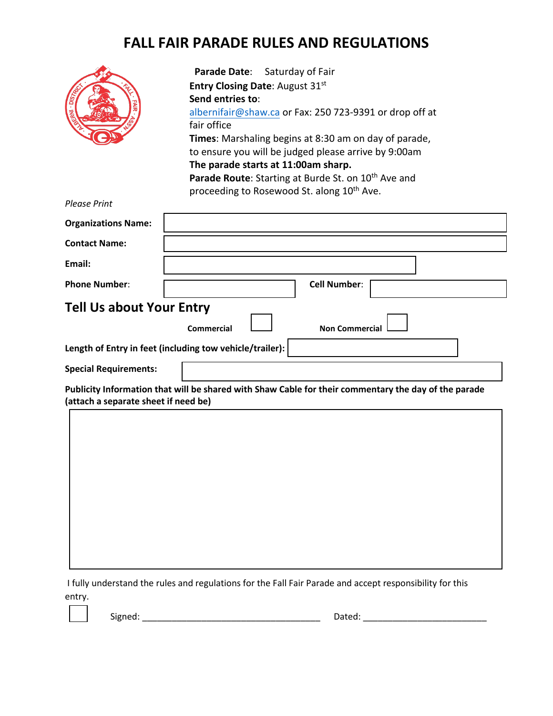## **FALL FAIR PARADE RULES AND REGULATIONS**

| ą.<br><b>DIST</b><br><b>DERN</b><br>۸ö | ٢ | ⇘<br>。<br>동 |
|----------------------------------------|---|-------------|
|                                        |   |             |

**Parade Date**: Saturday of Fair **Entry Closing Date**: August 31 st **Send entries to**: [albernifair@shaw.ca](mailto:albernifair@shaw.ca) or Fax: 250 723-9391 or drop off at fair office **Times**: Marshaling begins at 8:30 am on day of parade, to ensure you will be judged please arrive by 9:00am **The parade starts at 11:00am sharp.** Parade Route: Starting at Burde St. on 10<sup>th</sup> Ave and proceeding to Rosewood St. along 10<sup>th</sup> Ave.

| <b>Please Print</b>                  |                                                                                                      |
|--------------------------------------|------------------------------------------------------------------------------------------------------|
| <b>Organizations Name:</b>           |                                                                                                      |
| <b>Contact Name:</b>                 |                                                                                                      |
| Email:                               |                                                                                                      |
| <b>Phone Number:</b>                 | <b>Cell Number:</b>                                                                                  |
| <b>Tell Us about Your Entry</b>      |                                                                                                      |
|                                      | <b>Commercial</b><br><b>Non Commercial</b>                                                           |
|                                      | Length of Entry in feet (including tow vehicle/trailer):                                             |
| <b>Special Requirements:</b>         |                                                                                                      |
| (attach a separate sheet if need be) | Publicity Information that will be shared with Shaw Cable for their commentary the day of the parade |
|                                      |                                                                                                      |
|                                      |                                                                                                      |
|                                      |                                                                                                      |
|                                      |                                                                                                      |
|                                      |                                                                                                      |
|                                      |                                                                                                      |
|                                      |                                                                                                      |
|                                      |                                                                                                      |

I fully understand the rules and regulations for the Fall Fair Parade and accept responsibility for this entry.

Signed: \_\_\_\_\_\_\_\_\_\_\_\_\_\_\_\_\_\_\_\_\_\_\_\_\_\_\_\_\_\_\_\_\_\_\_\_ Dated: \_\_\_\_\_\_\_\_\_\_\_\_\_\_\_\_\_\_\_\_\_\_\_\_\_